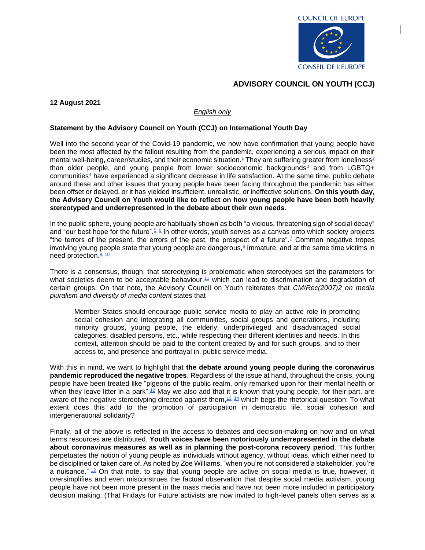## **ADVISORY COUNCIL ON YOUTH (CCJ)**

## **12 August 2021**

## *English only*

## **Statement by the Advisory Council on Youth (CCJ) on International Youth Day**

Well into the second year of the Covid-19 pandemic, we now have confirmation that young people have been the most affected by the fallout resulting from the pandemic, experiencing a serious impact on their mental well-being, career/studies, and their economic situation.<sup>[1](https://www.emerald.com/insight/content/doi/10.1108/IJSSP-07-2020-0267/full/html#sec002)</sup> They are suffering greater from loneliness<sup>[2](https://guilfordjournals.com/doi/abs/10.1521/jscp.2020.39.8.708)</sup> than older people, and young people from lower socioeconomic backgrounds<sup>[3](https://www.tandfonline.com/doi/full/10.1080/14616696.2020.1839671)</sup> and from LGBTQ+ communities<sup>[4](https://www.tandfonline.com/doi/full/10.1080/00918369.2020.1868186)</sup> have experienced a significant decrease in life satisfaction. At the same time, public debate around these and other issues that young people have been facing throughout the pandemic has either been offset or delayed, or it has yielded insufficient, unrealistic, or ineffective solutions. **On this youth day, the Advisory Council on Youth would like to reflect on how young people have been both heavily stereotyped and underrepresented in the debate about their own needs**.

In the public sphere, young people are habitually shown as both "a vicious, threatening sign of social decay" and "our best hope for the future". [5,](https://www.worldcat.org/title/generations-of-youth-youth-cultures-and-history-in-twentieth-century-america/oclc/38081441) [6](https://blog.thefactual.com/the-portrayal-of-youth-in-the-media-by-matthew-cormack-of-political-youth) In other words, youth serves as a canvas onto which society projects "the terrors of the present, the errors of the past, the prospect of a future".<sup>[7](https://www.researchgate.net/publication/284443953_Reflections_on_Youth_from_the_Past_to_the_Postcolony)</sup> Common negative tropes involving young people state that young people are dangerous, $§$  immature, and at the same time victims in need protection.<sup>[9,](https://www.routledge.com/Youth-Murder-Spectacle-The-Cultural-Politics-Of-Youth-In-Crisis/Acland/p/book/9780813322872) [10](https://theconversation.com/three-ways-teenagers-are-misrepresented-in-society-101557)</sup>

There is a consensus, though, that stereotyping is problematic when stereotypes set the parameters for what societies deem to be acceptable behaviour, $11$  which can lead to discrimination and degradation of certain groups. On that note, the Advisory Council on Youth reiterates that *CM/Rec(2007)2 on media pluralism and diversity of media content* states that

Member States should encourage public service media to play an active role in promoting social cohesion and integrating all communities, social groups and generations, including minority groups, young people, the elderly, underprivileged and disadvantaged social categories, disabled persons, etc., while respecting their different identities and needs. In this context, attention should be paid to the content created by and for such groups, and to their access to, and presence and portrayal in, public service media.

With this in mind, we want to highlight that **the debate around young people during the coronavirus pandemic reproduced the negative tropes**. Regardless of the issue at hand, throughout the crisis, young people have been treated like "pigeons of the public realm, only remarked upon for their mental health or when they leave litter in a park".<sup>[12](https://www.theguardian.com/commentisfree/2021/apr/06/housing-vaccine-passports-politicians-pigeons)</sup> May we also add that it is known that young people, for their part, are aware of the negative stereotyping directed against them, [13,](https://www1.health.gov.au/internet/publications/publishing.nsf/Content/drugtreat-pubs-front2-wk-toc~drugtreat-pubs-front2-wk-secb~drugtreat-pubs-front2-wk-secb-2~drugtreat-pubs-front2-wk-secb-2-3) [14](https://www.ipsos.com/ipsos-mori/en-uk/media-image-young-people) which begs the rhetorical question: To what extent does this add to the promotion of participation in democratic life, social cohesion and intergenerational solidarity?

Finally, all of the above is reflected in the access to debates and decision-making on how and on what terms resources are distributed. **Youth voices have been notoriously underrepresented in the debate about coronavirus measures as well as in planning the post-corona recovery period**. This further perpetuates the notion of young people as individuals without agency, without ideas, which either need to be disciplined or taken care of. As noted by Zoe Williams, "when you're not considered a stakeholder, you're a nuisance.["](https://www.theguardian.com/commentisfree/2021/apr/06/housing-vaccine-passports-politicians-pigeons)  $12$  On that note, to say that young people are active on social media is true, however, it oversimplifies and even misconstrues the factual observation that despite social media activism, young people have not been more present in the mass media and have not been more included in participatory decision making. (That Fridays for Future activists are now invited to high-level panels often serves as a